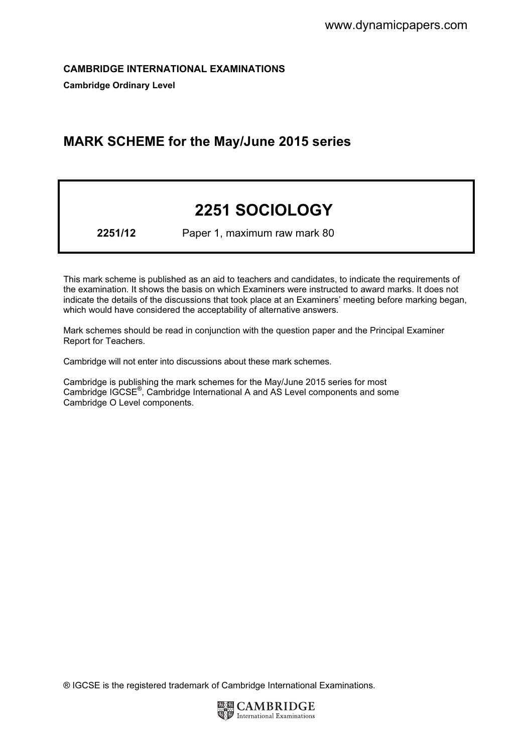CAMBRIDGE INTERNATIONAL EXAMINATIONS

Cambridge Ordinary Level

# MARK SCHEME for the May/June 2015 series

# 2251 SOCIOLOGY

2251/12 Paper 1, maximum raw mark 80

This mark scheme is published as an aid to teachers and candidates, to indicate the requirements of the examination. It shows the basis on which Examiners were instructed to award marks. It does not indicate the details of the discussions that took place at an Examiners' meeting before marking began, which would have considered the acceptability of alternative answers.

Mark schemes should be read in conjunction with the question paper and the Principal Examiner Report for Teachers.

Cambridge will not enter into discussions about these mark schemes.

Cambridge is publishing the mark schemes for the May/June 2015 series for most Cambridge IGCSE*®* , Cambridge International A and AS Level components and some Cambridge O Level components.

® IGCSE is the registered trademark of Cambridge International Examinations.

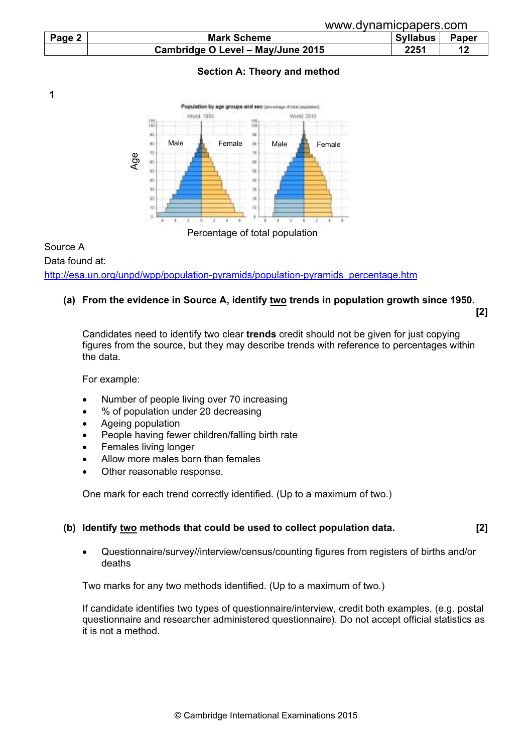|        |                                   | www.dynamicpapers.com    |  |  |  |
|--------|-----------------------------------|--------------------------|--|--|--|
| Page 2 | <b>Mark Scheme</b>                | <b>Syllabus</b><br>Paper |  |  |  |
|        | Cambridge O Level - May/June 2015 | 2251                     |  |  |  |

# Section A: Theory and method



Percentage of total population

# Source A Data found at: http://esa.un.org/unpd/wpp/population-pyramids/population-pyramids\_percentage.htm

# (a) From the evidence in Source A, identify two trends in population growth since 1950.

[2]

Candidates need to identify two clear trends credit should not be given for just copying figures from the source, but they may describe trends with reference to percentages within the data.

For example:

1

- Number of people living over 70 increasing
- % of population under 20 decreasing
- Ageing population
- People having fewer children/falling birth rate
- Females living longer
- Allow more males born than females
- Other reasonable response.

One mark for each trend correctly identified. (Up to a maximum of two.)

# (b) Identify two methods that could be used to collect population data. [2]

• Questionnaire/survey//interview/census/counting figures from registers of births and/or deaths

Two marks for any two methods identified. (Up to a maximum of two.)

 If candidate identifies two types of questionnaire/interview, credit both examples, (e.g. postal questionnaire and researcher administered questionnaire). Do not accept official statistics as it is not a method.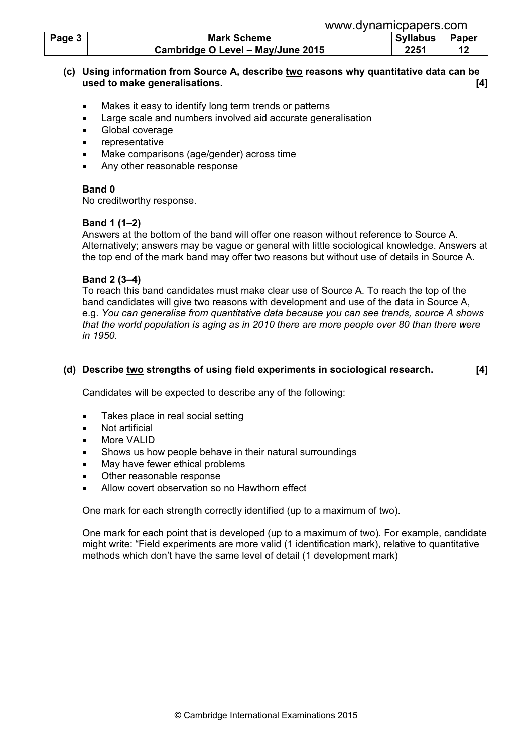| Page 3 | <b>Mark Scheme</b>                | Syllabus | <b>Paper</b> |
|--------|-----------------------------------|----------|--------------|
|        | Cambridge O Level - May/June 2015 | 2251     |              |

# (c) Using information from Source A, describe two reasons why quantitative data can be used to make generalisations. [4]

- Makes it easy to identify long term trends or patterns
- Large scale and numbers involved aid accurate generalisation
- Global coverage
- representative
- Make comparisons (age/gender) across time
- Any other reasonable response

#### Band 0

No creditworthy response.

#### Band 1 (1–2)

 Answers at the bottom of the band will offer one reason without reference to Source A. Alternatively; answers may be vague or general with little sociological knowledge. Answers at the top end of the mark band may offer two reasons but without use of details in Source A.

#### Band 2 (3–4)

 To reach this band candidates must make clear use of Source A. To reach the top of the band candidates will give two reasons with development and use of the data in Source A, e.g. You can generalise from quantitative data because you can see trends, source A shows that the world population is aging as in 2010 there are more people over 80 than there were in 1950.

#### (d) Describe two strengths of using field experiments in sociological research. [4]

Candidates will be expected to describe any of the following:

- Takes place in real social setting
- Not artificial
- More VAL ID
- Shows us how people behave in their natural surroundings
- May have fewer ethical problems
- Other reasonable response
- Allow covert observation so no Hawthorn effect

One mark for each strength correctly identified (up to a maximum of two).

 One mark for each point that is developed (up to a maximum of two). For example, candidate might write: "Field experiments are more valid (1 identification mark), relative to quantitative methods which don't have the same level of detail (1 development mark)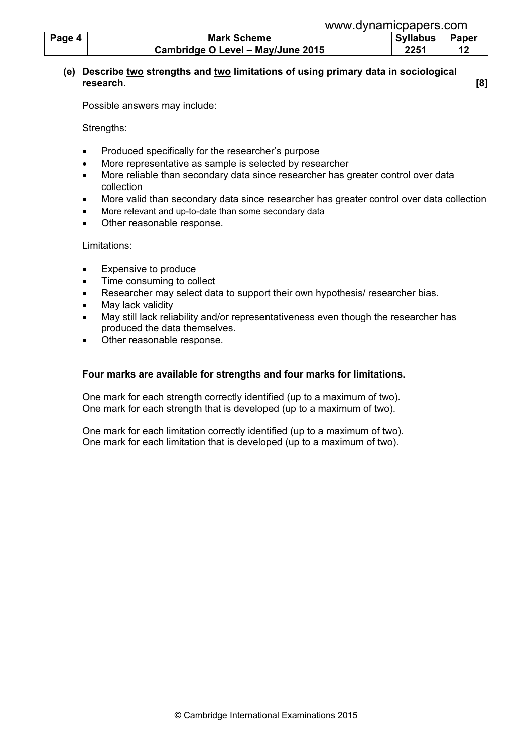| Page 4 | <b>Mark Scheme</b>                | <b>Syllabus</b> | <b>Paper</b> |
|--------|-----------------------------------|-----------------|--------------|
|        | Cambridge O Level - May/June 2015 | 2251            |              |

# (e) Describe two strengths and two limitations of using primary data in sociological research. [8]

Possible answers may include:

Strengths:

- Produced specifically for the researcher's purpose
- More representative as sample is selected by researcher
- More reliable than secondary data since researcher has greater control over data collection
- More valid than secondary data since researcher has greater control over data collection
- More relevant and up-to-date than some secondary data
- Other reasonable response.

Limitations:

- Expensive to produce
- Time consuming to collect
- Researcher may select data to support their own hypothesis/ researcher bias.
- May lack validity
- May still lack reliability and/or representativeness even though the researcher has produced the data themselves.
- Other reasonable response.

# Four marks are available for strengths and four marks for limitations.

 One mark for each strength correctly identified (up to a maximum of two). One mark for each strength that is developed (up to a maximum of two).

 One mark for each limitation correctly identified (up to a maximum of two). One mark for each limitation that is developed (up to a maximum of two).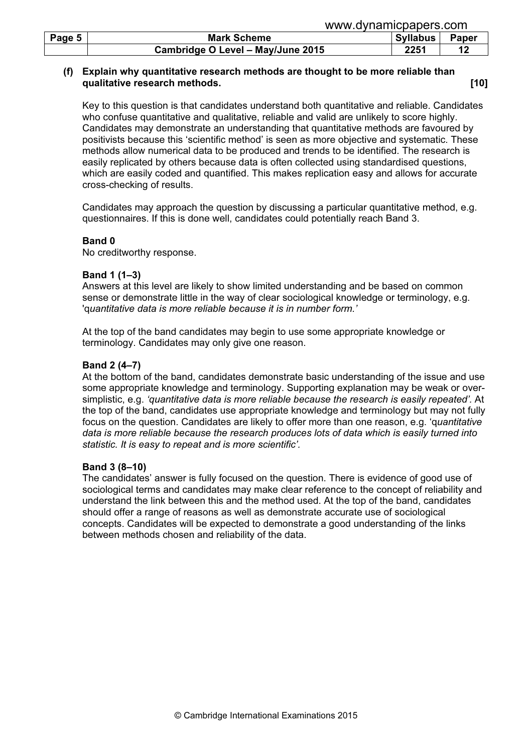| www.dynamicpapers.com |                                   |          |              |
|-----------------------|-----------------------------------|----------|--------------|
| Page 5                | <b>Mark Scheme</b>                | Syllabus | <b>Paper</b> |
|                       | Cambridge O Level - May/June 2015 | 2251     | 12           |

# (f) Explain why quantitative research methods are thought to be more reliable than qualitative research methods. **Example 20** and the set of the set of the set of the set of the set of the set of the set of the set of the set of the set of the set of the set of the set of the set of the set of the set of

 Key to this question is that candidates understand both quantitative and reliable. Candidates who confuse quantitative and qualitative, reliable and valid are unlikely to score highly. Candidates may demonstrate an understanding that quantitative methods are favoured by positivists because this 'scientific method' is seen as more objective and systematic. These methods allow numerical data to be produced and trends to be identified. The research is easily replicated by others because data is often collected using standardised questions, which are easily coded and quantified. This makes replication easy and allows for accurate cross-checking of results.

 Candidates may approach the question by discussing a particular quantitative method, e.g. questionnaires. If this is done well, candidates could potentially reach Band 3.

#### Band 0

No creditworthy response.

#### Band 1 (1–3)

 Answers at this level are likely to show limited understanding and be based on common sense or demonstrate little in the way of clear sociological knowledge or terminology, e.g. 'quantitative data is more reliable because it is in number form.'

 At the top of the band candidates may begin to use some appropriate knowledge or terminology. Candidates may only give one reason.

#### Band 2 (4–7)

 At the bottom of the band, candidates demonstrate basic understanding of the issue and use some appropriate knowledge and terminology. Supporting explanation may be weak or oversimplistic, e.g. 'quantitative data is more reliable because the research is easily repeated'. At the top of the band, candidates use appropriate knowledge and terminology but may not fully focus on the question. Candidates are likely to offer more than one reason, e.g. 'quantitative data is more reliable because the research produces lots of data which is easily turned into statistic. It is easy to repeat and is more scientific'.

#### Band 3 (8–10)

 The candidates' answer is fully focused on the question. There is evidence of good use of sociological terms and candidates may make clear reference to the concept of reliability and understand the link between this and the method used. At the top of the band, candidates should offer a range of reasons as well as demonstrate accurate use of sociological concepts. Candidates will be expected to demonstrate a good understanding of the links between methods chosen and reliability of the data.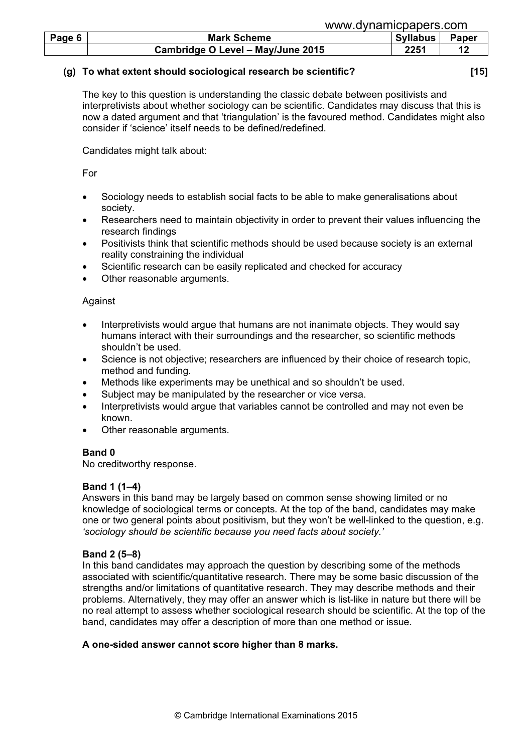|        | www.dynamicpapers.com             |                          |  |  |  |  |
|--------|-----------------------------------|--------------------------|--|--|--|--|
| Page 6 | <b>Mark Scheme</b>                | Paper<br><b>Syllabus</b> |  |  |  |  |
|        | Cambridge O Level - May/June 2015 | 2251                     |  |  |  |  |

#### (g) To what extent should sociological research be scientific? [15]

 The key to this question is understanding the classic debate between positivists and interpretivists about whether sociology can be scientific. Candidates may discuss that this is now a dated argument and that 'triangulation' is the favoured method. Candidates might also consider if 'science' itself needs to be defined/redefined.

Candidates might talk about:

For

- Sociology needs to establish social facts to be able to make generalisations about society.
- Researchers need to maintain objectivity in order to prevent their values influencing the research findings
- Positivists think that scientific methods should be used because society is an external reality constraining the individual
- Scientific research can be easily replicated and checked for accuracy
- Other reasonable arguments.

# Against

- Interpretivists would argue that humans are not inanimate objects. They would say humans interact with their surroundings and the researcher, so scientific methods shouldn't be used.
- Science is not objective; researchers are influenced by their choice of research topic, method and funding.
- Methods like experiments may be unethical and so shouldn't be used.
- Subject may be manipulated by the researcher or vice versa.
- Interpretivists would argue that variables cannot be controlled and may not even be known.
- Other reasonable arguments.

# Band 0

No creditworthy response.

# Band 1 (1–4)

 Answers in this band may be largely based on common sense showing limited or no knowledge of sociological terms or concepts. At the top of the band, candidates may make one or two general points about positivism, but they won't be well-linked to the question, e.g. 'sociology should be scientific because you need facts about society.'

# Band 2 (5–8)

 In this band candidates may approach the question by describing some of the methods associated with scientific/quantitative research. There may be some basic discussion of the strengths and/or limitations of quantitative research. They may describe methods and their problems. Alternatively, they may offer an answer which is list-like in nature but there will be no real attempt to assess whether sociological research should be scientific. At the top of the band, candidates may offer a description of more than one method or issue.

# A one-sided answer cannot score higher than 8 marks.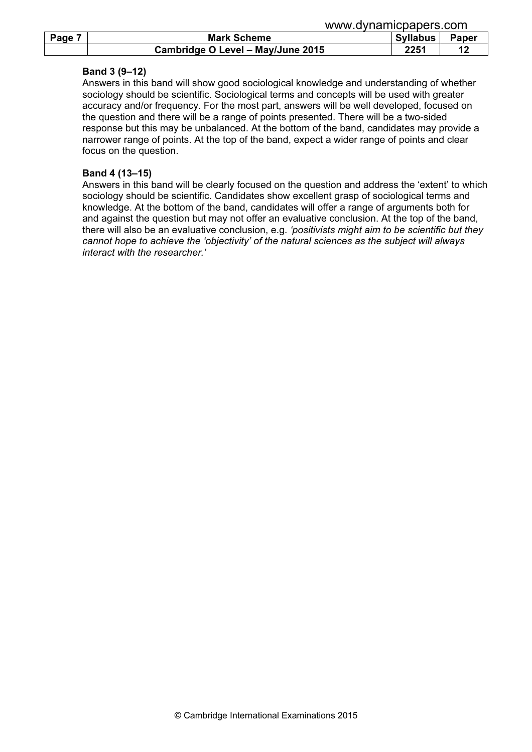|        |                                   | www.uyildililopapois.com |              |  |  |
|--------|-----------------------------------|--------------------------|--------------|--|--|
| Page 7 | <b>Mark Scheme</b>                | <b>Syllabus</b>          | <b>Paper</b> |  |  |
|        | Cambridge O Level - May/June 2015 | 2251                     |              |  |  |

www.dynamicpapers.com

#### Band 3 (9–12)

 Answers in this band will show good sociological knowledge and understanding of whether sociology should be scientific. Sociological terms and concepts will be used with greater accuracy and/or frequency. For the most part, answers will be well developed, focused on the question and there will be a range of points presented. There will be a two-sided response but this may be unbalanced. At the bottom of the band, candidates may provide a narrower range of points. At the top of the band, expect a wider range of points and clear focus on the question.

# Band 4 (13–15)

 Answers in this band will be clearly focused on the question and address the 'extent' to which sociology should be scientific. Candidates show excellent grasp of sociological terms and knowledge. At the bottom of the band, candidates will offer a range of arguments both for and against the question but may not offer an evaluative conclusion. At the top of the band, there will also be an evaluative conclusion, e.g. 'positivists might aim to be scientific but they cannot hope to achieve the 'objectivity' of the natural sciences as the subject will always interact with the researcher.'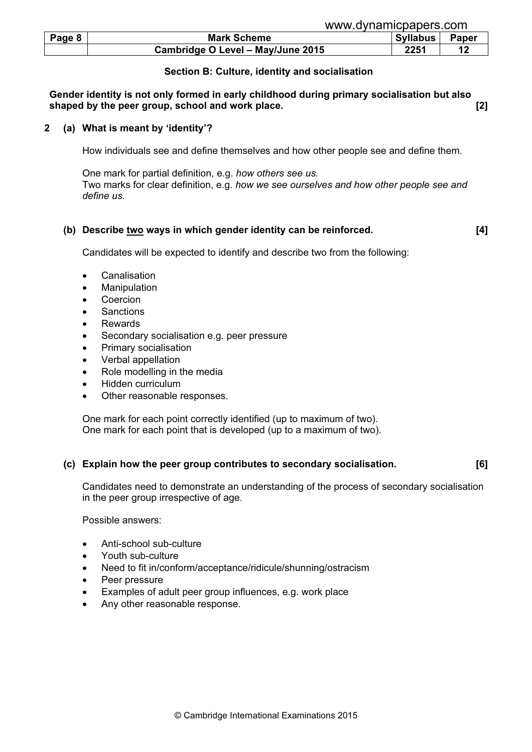| Page 8 | <b>Mark Scheme</b>                | Syllabus | <b>Paper</b> |
|--------|-----------------------------------|----------|--------------|
|        | Cambridge O Level - May/June 2015 | 2251     |              |

# Section B: Culture, identity and socialisation

Gender identity is not only formed in early childhood during primary socialisation but also shaped by the peer group, school and work place. **Example 2** and  $\lbrack 2 \rbrack$ 

#### 2 (a) What is meant by 'identity'?

How individuals see and define themselves and how other people see and define them.

 One mark for partial definition, e.g. how others see us. Two marks for clear definition, e.g. how we see ourselves and how other people see and define us.

#### (b) Describe two ways in which gender identity can be reinforced. [4]

Candidates will be expected to identify and describe two from the following:

- **Canalisation**
- **Manipulation**
- **Coercion**
- **Sanctions**
- Rewards
- Secondary socialisation e.g. peer pressure
- Primary socialisation
- Verbal appellation
- Role modelling in the media
- Hidden curriculum
- Other reasonable responses.

 One mark for each point correctly identified (up to maximum of two). One mark for each point that is developed (up to a maximum of two).

# (c) Explain how the peer group contributes to secondary socialisation. [6]

 Candidates need to demonstrate an understanding of the process of secondary socialisation in the peer group irrespective of age.

Possible answers:

- Anti-school sub-culture
- Youth sub-culture
- Need to fit in/conform/acceptance/ridicule/shunning/ostracism
- Peer pressure
- Examples of adult peer group influences, e.g. work place
- Any other reasonable response.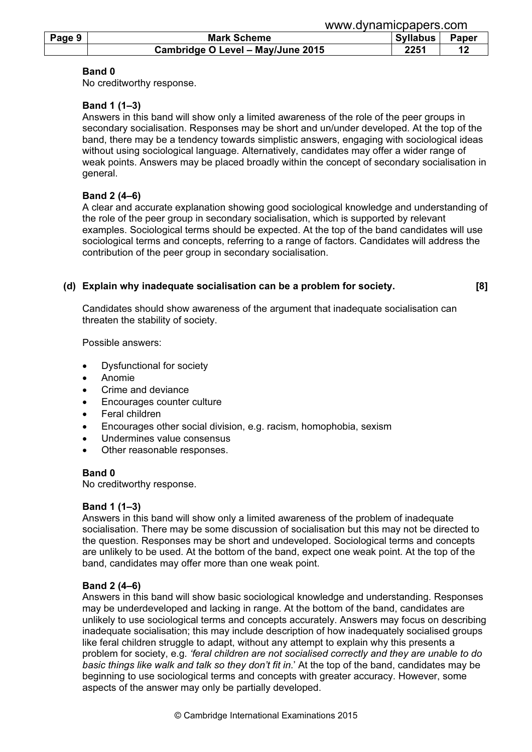|        |                                   | www.uvilallilupapers.com |  |  |
|--------|-----------------------------------|--------------------------|--|--|
| Page 9 | <b>Mark Scheme</b>                | <b>Syllabus</b><br>Paper |  |  |
|        | Cambridge O Level - May/June 2015 | 2251                     |  |  |

www.dynamicpapers.com

#### Band 0

No creditworthy response.

# Band 1 (1–3)

 Answers in this band will show only a limited awareness of the role of the peer groups in secondary socialisation. Responses may be short and un/under developed. At the top of the band, there may be a tendency towards simplistic answers, engaging with sociological ideas without using sociological language. Alternatively, candidates may offer a wider range of weak points. Answers may be placed broadly within the concept of secondary socialisation in general.

# Band 2 (4–6)

 A clear and accurate explanation showing good sociological knowledge and understanding of the role of the peer group in secondary socialisation, which is supported by relevant examples. Sociological terms should be expected. At the top of the band candidates will use sociological terms and concepts, referring to a range of factors. Candidates will address the contribution of the peer group in secondary socialisation.

# (d) Explain why inadequate socialisation can be a problem for society. [8]

 Candidates should show awareness of the argument that inadequate socialisation can threaten the stability of society.

Possible answers:

- Dysfunctional for society
- Anomie
- Crime and deviance
- Encourages counter culture
- Feral children
- Encourages other social division, e.g. racism, homophobia, sexism
- Undermines value consensus
- Other reasonable responses.

# Band 0

No creditworthy response.

# Band 1 (1–3)

 Answers in this band will show only a limited awareness of the problem of inadequate socialisation. There may be some discussion of socialisation but this may not be directed to the question. Responses may be short and undeveloped. Sociological terms and concepts are unlikely to be used. At the bottom of the band, expect one weak point. At the top of the band, candidates may offer more than one weak point.

# Band 2 (4–6)

 Answers in this band will show basic sociological knowledge and understanding. Responses may be underdeveloped and lacking in range. At the bottom of the band, candidates are unlikely to use sociological terms and concepts accurately. Answers may focus on describing inadequate socialisation; this may include description of how inadequately socialised groups like feral children struggle to adapt, without any attempt to explain why this presents a problem for society, e.g. 'feral children are not socialised correctly and they are unable to do basic things like walk and talk so they don't fit in.' At the top of the band, candidates may be beginning to use sociological terms and concepts with greater accuracy. However, some aspects of the answer may only be partially developed.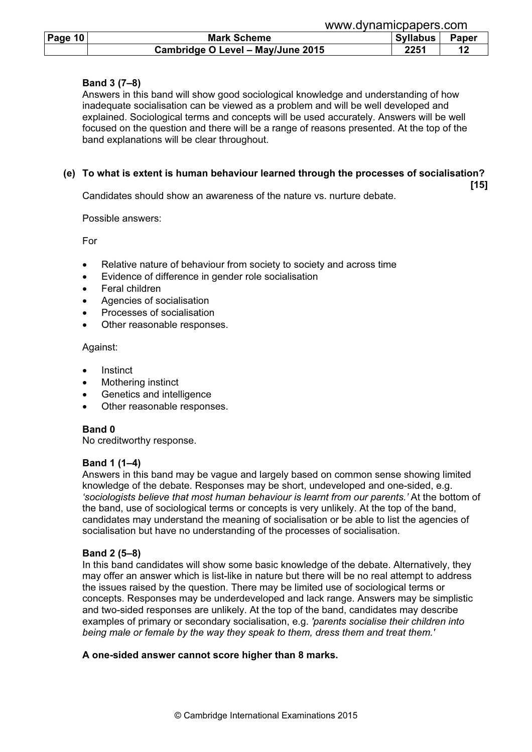|                |                                   | www.dynamicpapers.com    |  |  |  |
|----------------|-----------------------------------|--------------------------|--|--|--|
| <b>Page 10</b> | <b>Mark Scheme</b>                | Paper<br><b>Syllabus</b> |  |  |  |
|                | Cambridge O Level - May/June 2015 | 2251                     |  |  |  |

# Band 3 (7–8)

 Answers in this band will show good sociological knowledge and understanding of how inadequate socialisation can be viewed as a problem and will be well developed and explained. Sociological terms and concepts will be used accurately. Answers will be well focused on the question and there will be a range of reasons presented. At the top of the band explanations will be clear throughout.

# (e) To what is extent is human behaviour learned through the processes of socialisation?

 $[15]$ Candidates should show an awareness of the nature vs. nurture debate.

Possible answers:

For

- Relative nature of behaviour from society to society and across time
- Evidence of difference in gender role socialisation
- Feral children
- Agencies of socialisation
- Processes of socialisation
- Other reasonable responses.

Against:

- **Instinct**
- Mothering instinct
- Genetics and intelligence
- Other reasonable responses.

#### Band 0

No creditworthy response.

# Band 1 (1–4)

 Answers in this band may be vague and largely based on common sense showing limited knowledge of the debate. Responses may be short, undeveloped and one-sided, e.g. 'sociologists believe that most human behaviour is learnt from our parents.' At the bottom of the band, use of sociological terms or concepts is very unlikely. At the top of the band, candidates may understand the meaning of socialisation or be able to list the agencies of socialisation but have no understanding of the processes of socialisation.

# Band 2 (5–8)

 In this band candidates will show some basic knowledge of the debate. Alternatively, they may offer an answer which is list-like in nature but there will be no real attempt to address the issues raised by the question. There may be limited use of sociological terms or concepts. Responses may be underdeveloped and lack range. Answers may be simplistic and two-sided responses are unlikely. At the top of the band, candidates may describe examples of primary or secondary socialisation, e.g. 'parents socialise their children into being male or female by the way they speak to them, dress them and treat them.'

#### A one-sided answer cannot score higher than 8 marks.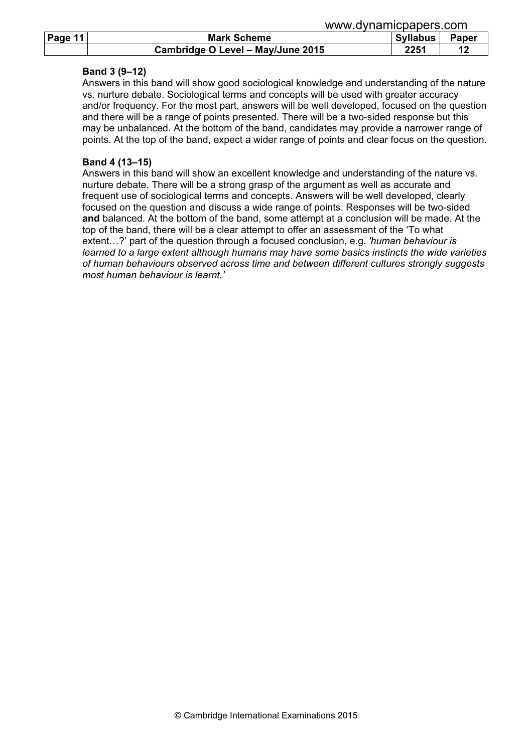|         |                                   | <u>www.uyildiliicpapcis.com</u> |       |  |  |
|---------|-----------------------------------|---------------------------------|-------|--|--|
| Page 11 | <b>Mark Scheme</b>                | <b>Syllabus</b>                 | Paper |  |  |
|         | Cambridge O Level - May/June 2015 | 2251                            |       |  |  |

#### Band 3 (9–12)

 Answers in this band will show good sociological knowledge and understanding of the nature vs. nurture debate. Sociological terms and concepts will be used with greater accuracy and/or frequency. For the most part, answers will be well developed, focused on the question and there will be a range of points presented. There will be a two-sided response but this may be unbalanced. At the bottom of the band, candidates may provide a narrower range of points. At the top of the band, expect a wider range of points and clear focus on the question.

www.dynamicpapers.com

#### Band 4 (13–15)

 Answers in this band will show an excellent knowledge and understanding of the nature vs. nurture debate. There will be a strong grasp of the argument as well as accurate and frequent use of sociological terms and concepts. Answers will be well developed, clearly focused on the question and discuss a wide range of points. Responses will be two-sided and balanced. At the bottom of the band, some attempt at a conclusion will be made. At the top of the band, there will be a clear attempt to offer an assessment of the 'To what extent...?' part of the question through a focused conclusion, e.g. 'human behaviour is learned to a large extent although humans may have some basics instincts the wide varieties of human behaviours observed across time and between different cultures strongly suggests most human behaviour is learnt.'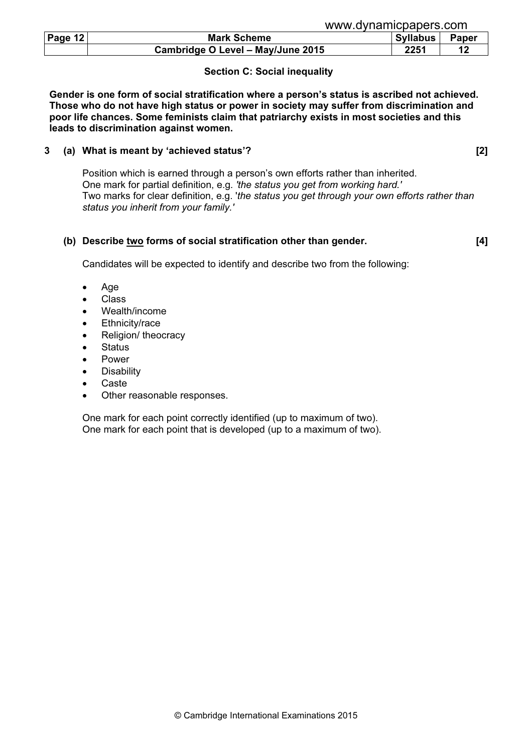|  | www.dynamicpapers.com |  |
|--|-----------------------|--|
|  |                       |  |

| Page 12 | <b>Mark Scheme</b>                | <b>Syllabus</b> | <b>Paper</b> |
|---------|-----------------------------------|-----------------|--------------|
|         |                                   |                 |              |
|         | Cambridge O Level - May/June 2015 | 2251            |              |

# Section C: Social inequality

Gender is one form of social stratification where a person's status is ascribed not achieved. Those who do not have high status or power in society may suffer from discrimination and poor life chances. Some feminists claim that patriarchy exists in most societies and this leads to discrimination against women.

# 3 (a) What is meant by 'achieved status'? [2]

 Position which is earned through a person's own efforts rather than inherited. One mark for partial definition, e.g. 'the status you get from working hard.' Two marks for clear definition, e.g. 'the status you get through your own efforts rather than status you inherit from your family.'

# (b) Describe two forms of social stratification other than gender. [4]

Candidates will be expected to identify and describe two from the following:

- Age
- Class
- Wealth/income
- Ethnicity/race
- Religion/ theocracy
- **Status**
- Power
- **Disability**
- Caste
- Other reasonable responses.

 One mark for each point correctly identified (up to maximum of two). One mark for each point that is developed (up to a maximum of two).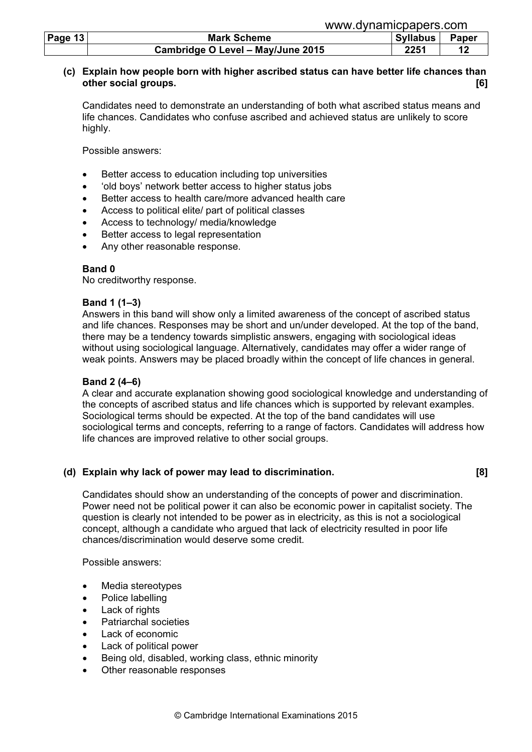|                | www.dynamicpapers.com             |                 |       |  |
|----------------|-----------------------------------|-----------------|-------|--|
| Page 13 $\mid$ | <b>Mark Scheme</b>                | <b>Syllabus</b> | Paper |  |
|                | Cambridge O Level - May/June 2015 | 2251            | 49    |  |

# (c) Explain how people born with higher ascribed status can have better life chances than other social groups. [6]

 Candidates need to demonstrate an understanding of both what ascribed status means and life chances. Candidates who confuse ascribed and achieved status are unlikely to score highly.

Possible answers:

- Better access to education including top universities
- 'old boys' network better access to higher status jobs
- Better access to health care/more advanced health care
- Access to political elite/ part of political classes
- Access to technology/ media/knowledge
- Better access to legal representation
- Any other reasonable response.

# Band 0

No creditworthy response.

#### Band 1 (1–3)

 Answers in this band will show only a limited awareness of the concept of ascribed status and life chances. Responses may be short and un/under developed. At the top of the band, there may be a tendency towards simplistic answers, engaging with sociological ideas without using sociological language. Alternatively, candidates may offer a wider range of weak points. Answers may be placed broadly within the concept of life chances in general.

#### Band 2 (4–6)

 A clear and accurate explanation showing good sociological knowledge and understanding of the concepts of ascribed status and life chances which is supported by relevant examples. Sociological terms should be expected. At the top of the band candidates will use sociological terms and concepts, referring to a range of factors. Candidates will address how life chances are improved relative to other social groups.

# (d) Explain why lack of power may lead to discrimination. [8]

 Candidates should show an understanding of the concepts of power and discrimination. Power need not be political power it can also be economic power in capitalist society. The question is clearly not intended to be power as in electricity, as this is not a sociological concept, although a candidate who argued that lack of electricity resulted in poor life chances/discrimination would deserve some credit.

Possible answers:

- Media stereotypes
- Police labelling
- Lack of rights
- Patriarchal societies
- Lack of economic
- Lack of political power
- Being old, disabled, working class, ethnic minority
- Other reasonable responses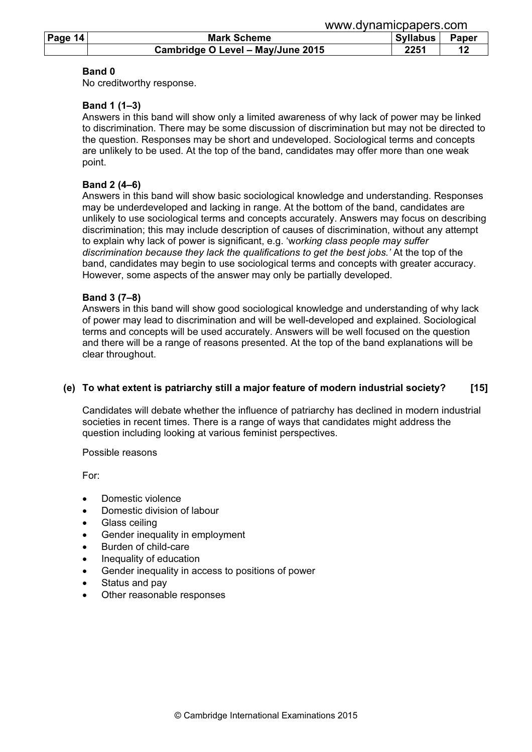|         | www.dynamicpapers.com             |                 |       |
|---------|-----------------------------------|-----------------|-------|
| Page 14 | <b>Mark Scheme</b>                | <b>Syllabus</b> | Paper |
|         | Cambridge O Level - May/June 2015 | 2251            | 12    |

#### Band 0

No creditworthy response.

#### Band 1 (1–3)

 Answers in this band will show only a limited awareness of why lack of power may be linked to discrimination. There may be some discussion of discrimination but may not be directed to the question. Responses may be short and undeveloped. Sociological terms and concepts are unlikely to be used. At the top of the band, candidates may offer more than one weak point.

#### Band 2 (4–6)

 Answers in this band will show basic sociological knowledge and understanding. Responses may be underdeveloped and lacking in range. At the bottom of the band, candidates are unlikely to use sociological terms and concepts accurately. Answers may focus on describing discrimination; this may include description of causes of discrimination, without any attempt to explain why lack of power is significant, e.g. 'working class people may suffer discrimination because they lack the qualifications to get the best jobs.' At the top of the band, candidates may begin to use sociological terms and concepts with greater accuracy. However, some aspects of the answer may only be partially developed.

#### Band 3 (7–8)

 Answers in this band will show good sociological knowledge and understanding of why lack of power may lead to discrimination and will be well-developed and explained. Sociological terms and concepts will be used accurately. Answers will be well focused on the question and there will be a range of reasons presented. At the top of the band explanations will be clear throughout.

# (e) To what extent is patriarchy still a major feature of modern industrial society? [15]

 Candidates will debate whether the influence of patriarchy has declined in modern industrial societies in recent times. There is a range of ways that candidates might address the question including looking at various feminist perspectives.

Possible reasons

For:

- Domestic violence
- Domestic division of labour
- Glass ceiling
- Gender inequality in employment
- Burden of child-care
- Inequality of education
- Gender inequality in access to positions of power
- Status and pay
- Other reasonable responses